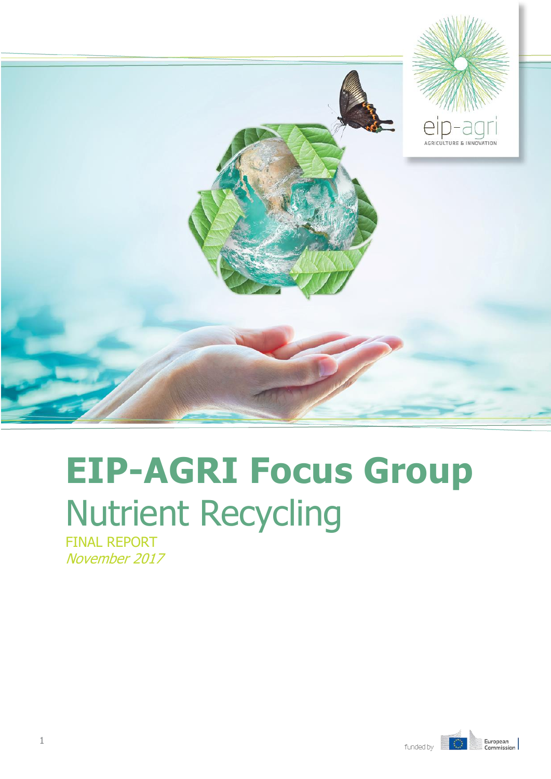

# **EIP-AGRI Focus Group** Nutrient Recycling

FINAL REPORT November 2017

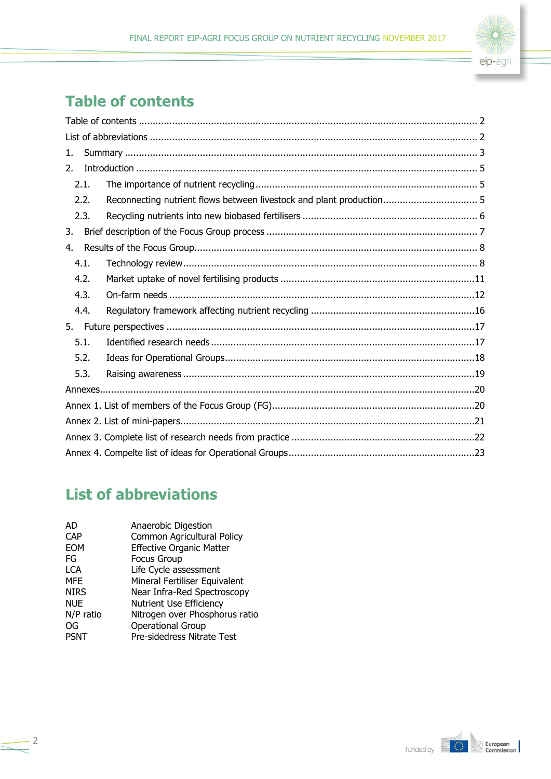

# <span id="page-1-0"></span>**Table of contents**

| 1.   |                                                                      |  |  |  |
|------|----------------------------------------------------------------------|--|--|--|
| 2.   |                                                                      |  |  |  |
| 2.1. |                                                                      |  |  |  |
| 2.2. | Reconnecting nutrient flows between livestock and plant production 5 |  |  |  |
| 2.3. |                                                                      |  |  |  |
| 3.   |                                                                      |  |  |  |
| 4.   |                                                                      |  |  |  |
| 4.1. |                                                                      |  |  |  |
| 4.2. |                                                                      |  |  |  |
| 4.3. |                                                                      |  |  |  |
| 4.4. |                                                                      |  |  |  |
| 5.   |                                                                      |  |  |  |
| 5.1. |                                                                      |  |  |  |
| 5.2. |                                                                      |  |  |  |
| 5.3. |                                                                      |  |  |  |
|      |                                                                      |  |  |  |
|      |                                                                      |  |  |  |
|      |                                                                      |  |  |  |
|      |                                                                      |  |  |  |
|      |                                                                      |  |  |  |
|      |                                                                      |  |  |  |

# <span id="page-1-1"></span>**List of abbreviations**

| AD          | Anaerobic Digestion             |
|-------------|---------------------------------|
| <b>CAP</b>  | Common Agricultural Policy      |
| <b>EOM</b>  | <b>Effective Organic Matter</b> |
| FG          | <b>Focus Group</b>              |
| <b>LCA</b>  | Life Cycle assessment           |
| <b>MFE</b>  | Mineral Fertiliser Equivalent   |
| <b>NIRS</b> | Near Infra-Red Spectroscopy     |
| <b>NUE</b>  | Nutrient Use Efficiency         |
| N/P ratio   | Nitrogen over Phosphorus ratio  |
| OG          | <b>Operational Group</b>        |
| <b>PSNT</b> | Pre-sidedress Nitrate Test      |
|             |                                 |

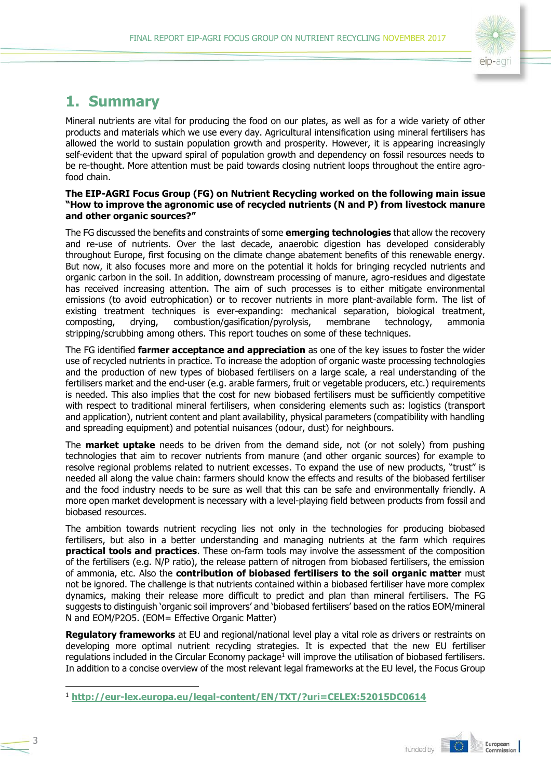

# <span id="page-2-0"></span>**1. Summary**

Mineral nutrients are vital for producing the food on our plates, as well as for a wide variety of other products and materials which we use every day. Agricultural intensification using mineral fertilisers has allowed the world to sustain population growth and prosperity. However, it is appearing increasingly self-evident that the upward spiral of population growth and dependency on fossil resources needs to be re-thought. More attention must be paid towards closing nutrient loops throughout the entire agrofood chain.

#### **The EIP-AGRI Focus Group (FG) on Nutrient Recycling worked on the following main issue "How to improve the agronomic use of recycled nutrients (N and P) from livestock manure and other organic sources?"**

The FG discussed the benefits and constraints of some **emerging technologies** that allow the recovery and re-use of nutrients. Over the last decade, anaerobic digestion has developed considerably throughout Europe, first focusing on the climate change abatement benefits of this renewable energy. But now, it also focuses more and more on the potential it holds for bringing recycled nutrients and organic carbon in the soil. In addition, downstream processing of manure, agro-residues and digestate has received increasing attention. The aim of such processes is to either mitigate environmental emissions (to avoid eutrophication) or to recover nutrients in more plant-available form. The list of existing treatment techniques is ever-expanding: mechanical separation, biological treatment, composting, drying, combustion/gasification/pyrolysis, membrane technology, ammonia stripping/scrubbing among others. This report touches on some of these techniques.

The FG identified **farmer acceptance and appreciation** as one of the key issues to foster the wider use of recycled nutrients in practice. To increase the adoption of organic waste processing technologies and the production of new types of biobased fertilisers on a large scale, a real understanding of the fertilisers market and the end-user (e.g. arable farmers, fruit or vegetable producers, etc.) requirements is needed. This also implies that the cost for new biobased fertilisers must be sufficiently competitive with respect to traditional mineral fertilisers, when considering elements such as: logistics (transport and application), nutrient content and plant availability, physical parameters (compatibility with handling and spreading equipment) and potential nuisances (odour, dust) for neighbours.

The **market uptake** needs to be driven from the demand side, not (or not solely) from pushing technologies that aim to recover nutrients from manure (and other organic sources) for example to resolve regional problems related to nutrient excesses. To expand the use of new products, "trust" is needed all along the value chain: farmers should know the effects and results of the biobased fertiliser and the food industry needs to be sure as well that this can be safe and environmentally friendly. A more open market development is necessary with a level-playing field between products from fossil and biobased resources.

The ambition towards nutrient recycling lies not only in the technologies for producing biobased fertilisers, but also in a better understanding and managing nutrients at the farm which requires **practical tools and practices**. These on-farm tools may involve the assessment of the composition of the fertilisers (e.g. N/P ratio), the release pattern of nitrogen from biobased fertilisers, the emission of ammonia, etc. Also the **contribution of biobased fertilisers to the soil organic matter** must not be ignored. The challenge is that nutrients contained within a biobased fertiliser have more complex dynamics, making their release more difficult to predict and plan than mineral fertilisers. The FG suggests to distinguish 'organic soil improvers' and 'biobased fertilisers' based on the ratios EOM/mineral N and EOM/P2O5. (EOM= Effective Organic Matter)

**Regulatory frameworks** at EU and regional/national level play a vital role as drivers or restraints on developing more optimal nutrient recycling strategies. It is expected that the new EU fertiliser regulations included in the Circular Economy package<sup>1</sup> will improve the utilisation of biobased fertilisers. In addition to a concise overview of the most relevant legal frameworks at the EU level, the Focus Group

-

<sup>1</sup> **<http://eur-lex.europa.eu/legal-content/EN/TXT/?uri=CELEX:52015DC0614>**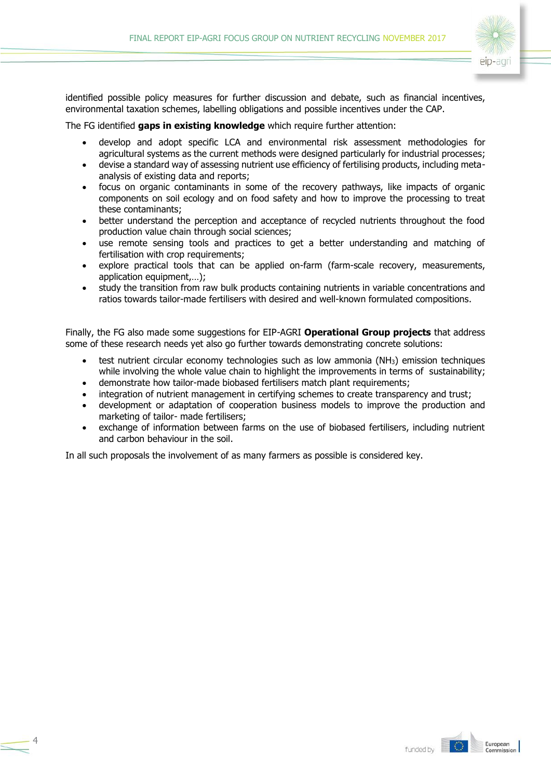

identified possible policy measures for further discussion and debate, such as financial incentives, environmental taxation schemes, labelling obligations and possible incentives under the CAP.

The FG identified **gaps in existing knowledge** which require further attention:

- develop and adopt specific LCA and environmental risk assessment methodologies for agricultural systems as the current methods were designed particularly for industrial processes;
- devise a standard way of assessing nutrient use efficiency of fertilising products, including metaanalysis of existing data and reports;
- focus on organic contaminants in some of the recovery pathways, like impacts of organic components on soil ecology and on food safety and how to improve the processing to treat these contaminants;
- better understand the perception and acceptance of recycled nutrients throughout the food production value chain through social sciences;
- use remote sensing tools and practices to get a better understanding and matching of fertilisation with crop requirements;
- explore practical tools that can be applied on-farm (farm-scale recovery, measurements, application equipment,…);
- study the transition from raw bulk products containing nutrients in variable concentrations and ratios towards tailor-made fertilisers with desired and well-known formulated compositions.

Finally, the FG also made some suggestions for EIP-AGRI **Operational Group projects** that address some of these research needs yet also go further towards demonstrating concrete solutions:

- test nutrient circular economy technologies such as low ammonia (NH3) emission techniques while involving the whole value chain to highlight the improvements in terms of sustainability;
- demonstrate how tailor-made biobased fertilisers match plant requirements;
- integration of nutrient management in certifying schemes to create transparency and trust;
- development or adaptation of cooperation business models to improve the production and marketing of tailor- made fertilisers;
- exchange of information between farms on the use of biobased fertilisers, including nutrient and carbon behaviour in the soil.

In all such proposals the involvement of as many farmers as possible is considered key.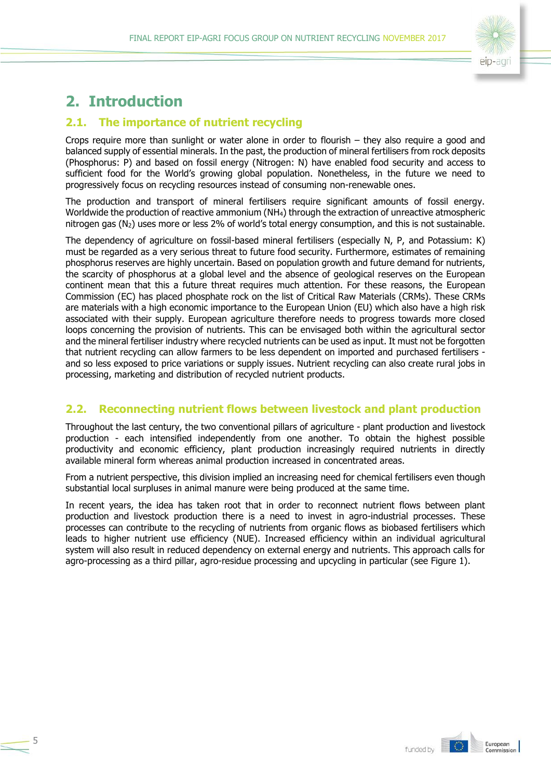

# <span id="page-4-0"></span>**2. Introduction**

5

# <span id="page-4-1"></span>**2.1. The importance of nutrient recycling**

Crops require more than sunlight or water alone in order to flourish – they also require a good and balanced supply of essential minerals. In the past, the production of mineral fertilisers from rock deposits (Phosphorus: P) and based on fossil energy (Nitrogen: N) have enabled food security and access to sufficient food for the World's growing global population. Nonetheless, in the future we need to progressively focus on recycling resources instead of consuming non-renewable ones.

The production and transport of mineral fertilisers require significant amounts of fossil energy. Worldwide the production of reactive ammonium (NH<sub>4</sub>) through the extraction of unreactive atmospheric nitrogen gas (N2) uses more or less 2% of world's total energy consumption, and this is not sustainable.

The dependency of agriculture on fossil-based mineral fertilisers (especially N, P, and Potassium: K) must be regarded as a very serious threat to future food security. Furthermore, estimates of remaining phosphorus reserves are highly uncertain. Based on population growth and future demand for nutrients, the scarcity of phosphorus at a global level and the absence of geological reserves on the European continent mean that this a future threat requires much attention. For these reasons, the European Commission (EC) has placed phosphate rock on the list of Critical Raw Materials (CRMs). These CRMs are materials with a high economic importance to the European Union (EU) which also have a high risk associated with their supply. European agriculture therefore needs to progress towards more closed loops concerning the provision of nutrients. This can be envisaged both within the agricultural sector and the mineral fertiliser industry where recycled nutrients can be used as input. It must not be forgotten that nutrient recycling can allow farmers to be less dependent on imported and purchased fertilisers and so less exposed to price variations or supply issues. Nutrient recycling can also create rural jobs in processing, marketing and distribution of recycled nutrient products.

# <span id="page-4-2"></span>**2.2. Reconnecting nutrient flows between livestock and plant production**

Throughout the last century, the two conventional pillars of agriculture - plant production and livestock production - each intensified independently from one another. To obtain the highest possible productivity and economic efficiency, plant production increasingly required nutrients in directly available mineral form whereas animal production increased in concentrated areas.

From a nutrient perspective, this division implied an increasing need for chemical fertilisers even though substantial local surpluses in animal manure were being produced at the same time.

In recent years, the idea has taken root that in order to reconnect nutrient flows between plant production and livestock production there is a need to invest in agro-industrial processes. These processes can contribute to the recycling of nutrients from organic flows as biobased fertilisers which leads to higher nutrient use efficiency (NUE). Increased efficiency within an individual agricultural system will also result in reduced dependency on external energy and nutrients. This approach calls for agro-processing as a third pillar, agro-residue processing and upcycling in particular (see Figure 1).

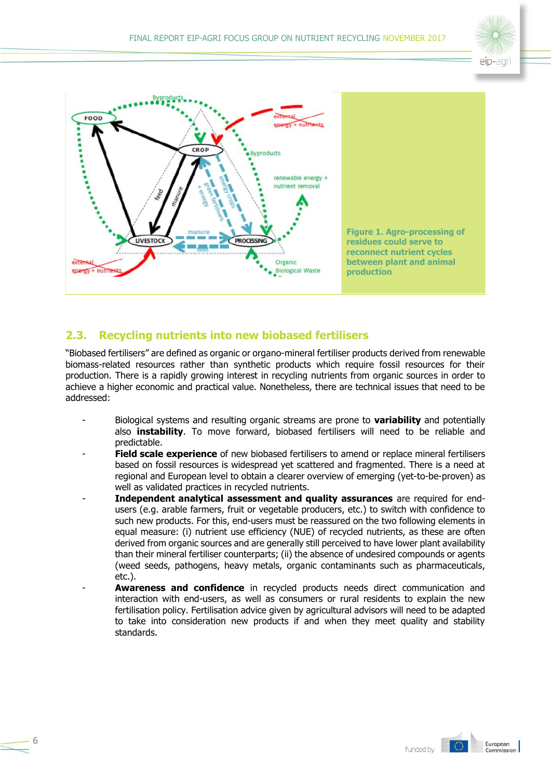



# <span id="page-5-0"></span>**2.3. Recycling nutrients into new biobased fertilisers**

6

"Biobased fertilisers" are defined as organic or organo-mineral fertiliser products derived from renewable biomass-related resources rather than synthetic products which require fossil resources for their production. There is a rapidly growing interest in recycling nutrients from organic sources in order to achieve a higher economic and practical value. Nonetheless, there are technical issues that need to be addressed:

- Biological systems and resulting organic streams are prone to **variability** and potentially also **instability**. To move forward, biobased fertilisers will need to be reliable and predictable.
- **Field scale experience** of new biobased fertilisers to amend or replace mineral fertilisers based on fossil resources is widespread yet scattered and fragmented. There is a need at regional and European level to obtain a clearer overview of emerging (yet-to-be-proven) as well as validated practices in recycled nutrients.
- **Independent analytical assessment and quality assurances** are required for endusers (e.g. arable farmers, fruit or vegetable producers, etc.) to switch with confidence to such new products. For this, end-users must be reassured on the two following elements in equal measure: (i) nutrient use efficiency (NUE) of recycled nutrients, as these are often derived from organic sources and are generally still perceived to have lower plant availability than their mineral fertiliser counterparts; (ii) the absence of undesired compounds or agents (weed seeds, pathogens, heavy metals, organic contaminants such as pharmaceuticals, etc.).
- **Awareness and confidence** in recycled products needs direct communication and interaction with end-users, as well as consumers or rural residents to explain the new fertilisation policy. Fertilisation advice given by agricultural advisors will need to be adapted to take into consideration new products if and when they meet quality and stability standards.



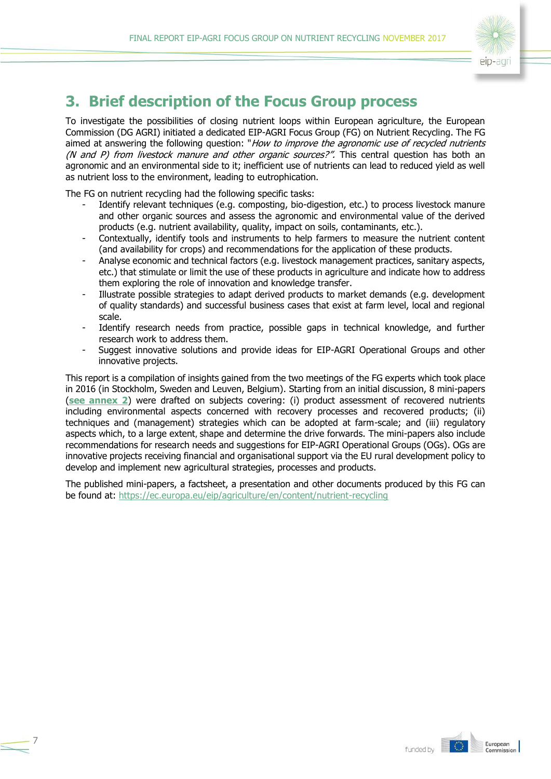

# <span id="page-6-0"></span>**3. Brief description of the Focus Group process**

To investigate the possibilities of closing nutrient loops within European agriculture, the European Commission (DG AGRI) initiated a dedicated EIP-AGRI Focus Group (FG) on Nutrient Recycling. The FG aimed at answering the following question: "How to improve the agronomic use of recycled nutrients (N and P) from livestock manure and other organic sources?". This central question has both an agronomic and an environmental side to it; inefficient use of nutrients can lead to reduced yield as well as nutrient loss to the environment, leading to eutrophication.

The FG on nutrient recycling had the following specific tasks:

7

- Identify relevant techniques (e.g. composting, bio-digestion, etc.) to process livestock manure and other organic sources and assess the agronomic and environmental value of the derived products (e.g. nutrient availability, quality, impact on soils, contaminants, etc.).
- Contextually, identify tools and instruments to help farmers to measure the nutrient content (and availability for crops) and recommendations for the application of these products.
- Analyse economic and technical factors (e.g. livestock management practices, sanitary aspects, etc.) that stimulate or limit the use of these products in agriculture and indicate how to address them exploring the role of innovation and knowledge transfer.
- Illustrate possible strategies to adapt derived products to market demands (e.g. development of quality standards) and successful business cases that exist at farm level, local and regional scale.
- Identify research needs from practice, possible gaps in technical knowledge, and further research work to address them.
- Suggest innovative solutions and provide ideas for EIP-AGRI Operational Groups and other innovative projects.

This report is a compilation of insights gained from the two meetings of the FG experts which took place in 2016 (in Stockholm, Sweden and Leuven, Belgium). Starting from an initial discussion, 8 mini-papers (**[see annex 2](#page-20-0)**) were drafted on subjects covering: (i) product assessment of recovered nutrients including environmental aspects concerned with recovery processes and recovered products; (ii) techniques and (management) strategies which can be adopted at farm-scale; and (iii) regulatory aspects which, to a large extent, shape and determine the drive forwards. The mini-papers also include recommendations for research needs and suggestions for EIP-AGRI Operational Groups (OGs). OGs are innovative projects receiving financial and organisational support via the EU rural development policy to develop and implement new agricultural strategies, processes and products.

The published mini-papers, a factsheet, a presentation and other documents produced by this FG can be found at:<https://ec.europa.eu/eip/agriculture/en/content/nutrient-recycling>

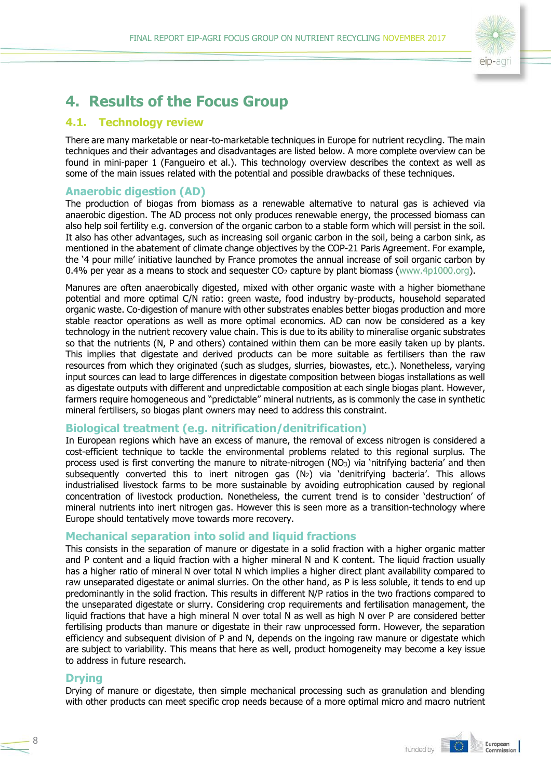

# <span id="page-7-0"></span>**4. Results of the Focus Group**

### <span id="page-7-1"></span>**4.1. Technology review**

There are many marketable or near-to-marketable techniques in Europe for nutrient recycling. The main techniques and their advantages and disadvantages are listed below. A more complete overview can be found in mini-paper 1 (Fangueiro et al.). This technology overview describes the context as well as some of the main issues related with the potential and possible drawbacks of these techniques.

#### **Anaerobic digestion (AD)**

The production of biogas from biomass as a renewable alternative to natural gas is achieved via anaerobic digestion. The AD process not only produces renewable energy, the processed biomass can also help soil fertility e.g. conversion of the organic carbon to a stable form which will persist in the soil. It also has other advantages, such as increasing soil organic carbon in the soil, being a carbon sink, as mentioned in the abatement of climate change objectives by the COP-21 Paris Agreement. For example, the '4 pour mille' initiative launched by France promotes the annual increase of soil organic carbon by 0.4% per year as a means to stock and sequester  $CO<sub>2</sub>$  capture by plant biomass [\(www.4p1000.org\)](http://www.4p1000.org/).

Manures are often anaerobically digested, mixed with other organic waste with a higher biomethane potential and more optimal C/N ratio: green waste, food industry by-products, household separated organic waste. Co-digestion of manure with other substrates enables better biogas production and more stable reactor operations as well as more optimal economics. AD can now be considered as a key technology in the nutrient recovery value chain. This is due to its ability to mineralise organic substrates so that the nutrients (N, P and others) contained within them can be more easily taken up by plants. This implies that digestate and derived products can be more suitable as fertilisers than the raw resources from which they originated (such as sludges, slurries, biowastes, etc.). Nonetheless, varying input sources can lead to large differences in digestate composition between biogas installations as well as digestate outputs with different and unpredictable composition at each single biogas plant. However, farmers require homogeneous and "predictable" mineral nutrients, as is commonly the case in synthetic mineral fertilisers, so biogas plant owners may need to address this constraint.

### **Biological treatment (e.g. nitrification/denitrification)**

In European regions which have an excess of manure, the removal of excess nitrogen is considered a cost-efficient technique to tackle the environmental problems related to this regional surplus. The process used is first converting the manure to nitrate-nitrogen (NO3) via 'nitrifying bacteria' and then subsequently converted this to inert nitrogen gas  $(N_2)$  via 'denitrifying bacteria'. This allows industrialised livestock farms to be more sustainable by avoiding eutrophication caused by regional concentration of livestock production. Nonetheless, the current trend is to consider 'destruction' of mineral nutrients into inert nitrogen gas. However this is seen more as a transition-technology where Europe should tentatively move towards more recovery.

#### **Mechanical separation into solid and liquid fractions**

This consists in the separation of manure or digestate in a solid fraction with a higher organic matter and P content and a liquid fraction with a higher mineral N and K content. The liquid fraction usually has a higher ratio of mineral N over total N which implies a higher direct plant availability compared to raw unseparated digestate or animal slurries. On the other hand, as P is less soluble, it tends to end up predominantly in the solid fraction. This results in different N/P ratios in the two fractions compared to the unseparated digestate or slurry. Considering crop requirements and fertilisation management, the liquid fractions that have a high mineral N over total N as well as high N over P are considered better fertilising products than manure or digestate in their raw unprocessed form. However, the separation efficiency and subsequent division of P and N, depends on the ingoing raw manure or digestate which are subject to variability. This means that here as well, product homogeneity may become a key issue to address in future research.

#### **Drying**

Drying of manure or digestate, then simple mechanical processing such as granulation and blending with other products can meet specific crop needs because of a more optimal micro and macro nutrient





8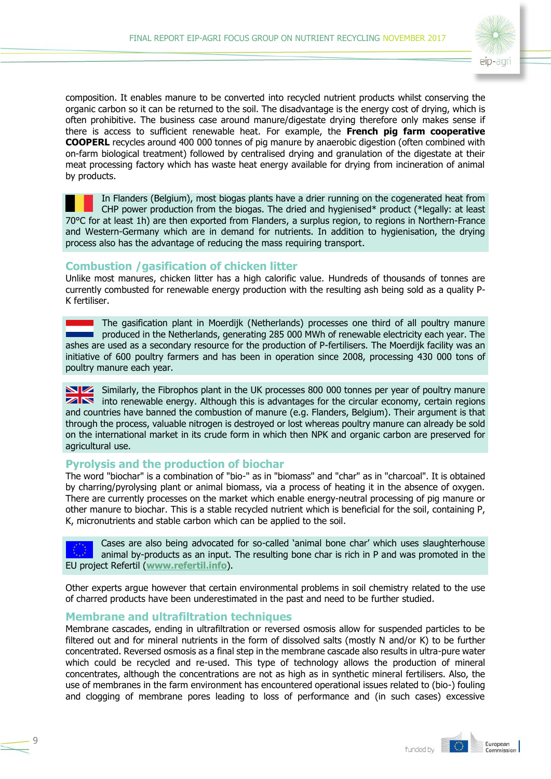

composition. It enables manure to be converted into recycled nutrient products whilst conserving the organic carbon so it can be returned to the soil. The disadvantage is the energy cost of drying, which is often prohibitive. The business case around manure/digestate drying therefore only makes sense if there is access to sufficient renewable heat. For example, the **French pig farm cooperative COOPERL** recycles around 400 000 tonnes of pig manure by anaerobic digestion (often combined with on-farm biological treatment) followed by centralised drying and granulation of the digestate at their meat processing factory which has waste heat energy available for drying from incineration of animal by products.

In Flanders (Belgium), most biogas plants have a drier running on the cogenerated heat from CHP power production from the biogas. The dried and hygienised\* product (\*legally: at least 70°C for at least 1h) are then exported from Flanders, a surplus region, to regions in Northern-France and Western-Germany which are in demand for nutrients. In addition to hygienisation, the drying process also has the advantage of reducing the mass requiring transport.

### **Combustion /gasification of chicken litter**

Unlike most manures, chicken litter has a high calorific value. Hundreds of thousands of tonnes are currently combusted for renewable energy production with the resulting ash being sold as a quality P-K fertiliser.

**The gasification plant in Moerdijk (Netherlands) processes one third of all poultry manure produced in the Netherlands, generating 285 000 MWh of renewable electricity each year. The** ashes are used as a secondary resource for the production of P-fertilisers. The Moerdijk facility was an initiative of 600 poultry farmers and has been in operation since 2008, processing 430 000 tons of poultry manure each year.

Similarly, the Fibrophos plant in the UK processes 800 000 tonnes per year of poultry manure  $\overline{\mathbf{z}}$  into renewable energy. Although this is advantages for the circular economy, certain regions and countries have banned the combustion of manure (e.g. Flanders, Belgium). Their argument is that through the process, valuable nitrogen is destroyed or lost whereas poultry manure can already be sold on the international market in its crude form in which then NPK and organic carbon are preserved for agricultural use.

### **Pyrolysis and the production of biochar**

The word "biochar" is a combination of "bio-" as in "biomass" and "char" as in "charcoal". It is obtained by charring/pyrolysing plant or animal biomass, via a process of heating it in the absence of oxygen. There are currently processes on the market which enable energy-neutral processing of pig manure or other manure to biochar. This is a stable recycled nutrient which is beneficial for the soil, containing P, K, micronutrients and stable carbon which can be applied to the soil.

Cases are also being advocated for so-called 'animal bone char' which uses slaughterhouse animal by-products as an input. The resulting bone char is rich in P and was promoted in the EU project Refertil (**[www.refertil.info](http://www.refertil.info/)**).

Other experts argue however that certain environmental problems in soil chemistry related to the use of charred products have been underestimated in the past and need to be further studied.

#### **Membrane and ultrafiltration techniques**

 $\mathsf{C}$ 

Membrane cascades, ending in ultrafiltration or reversed osmosis allow for suspended particles to be filtered out and for mineral nutrients in the form of dissolved salts (mostly N and/or K) to be further concentrated. Reversed osmosis as a final step in the membrane cascade also results in ultra-pure water which could be recycled and re-used. This type of technology allows the production of mineral concentrates, although the concentrations are not as high as in synthetic mineral fertilisers. Also, the use of membranes in the farm environment has encountered operational issues related to (bio-) fouling and clogging of membrane pores leading to loss of performance and (in such cases) excessive



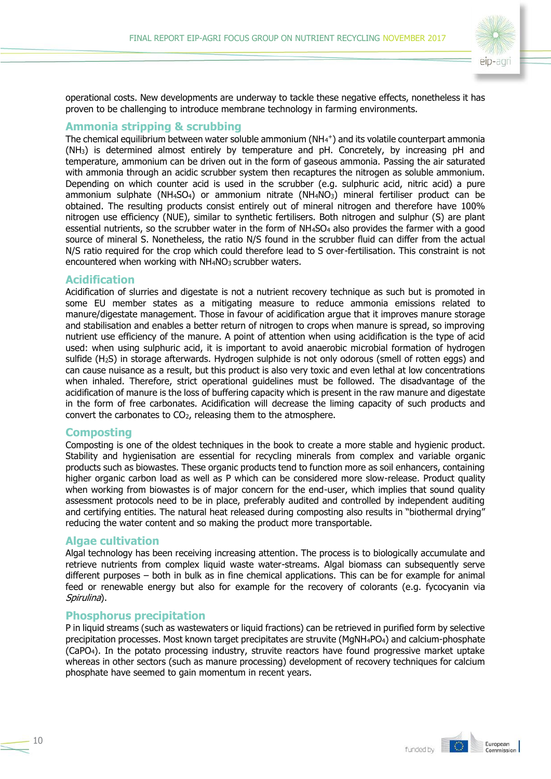

operational costs. New developments are underway to tackle these negative effects, nonetheless it has proven to be challenging to introduce membrane technology in farming environments.

#### **Ammonia stripping & scrubbing**

The chemical equilibrium between water soluble ammonium ( $NH<sub>4</sub>$ +) and its volatile counterpart ammonia (NH3) is determined almost entirely by temperature and pH. Concretely, by increasing pH and temperature, ammonium can be driven out in the form of gaseous ammonia. Passing the air saturated with ammonia through an acidic scrubber system then recaptures the nitrogen as soluble ammonium. Depending on which counter acid is used in the scrubber (e.g. sulphuric acid, nitric acid) a pure ammonium sulphate (NH<sub>4</sub>SO<sub>4</sub>) or ammonium nitrate (NH<sub>4</sub>NO<sub>3</sub>) mineral fertiliser product can be obtained. The resulting products consist entirely out of mineral nitrogen and therefore have 100% nitrogen use efficiency (NUE), similar to synthetic fertilisers. Both nitrogen and sulphur (S) are plant essential nutrients, so the scrubber water in the form of NH<sub>4</sub>SO<sub>4</sub> also provides the farmer with a good source of mineral S. Nonetheless, the ratio N/S found in the scrubber fluid can differ from the actual N/S ratio required for the crop which could therefore lead to S over-fertilisation. This constraint is not encountered when working with NH<sub>4</sub>NO<sub>3</sub> scrubber waters.

#### **Acidification**

Acidification of slurries and digestate is not a nutrient recovery technique as such but is promoted in some EU member states as a mitigating measure to reduce ammonia emissions related to manure/digestate management. Those in favour of acidification argue that it improves manure storage and stabilisation and enables a better return of nitrogen to crops when manure is spread, so improving nutrient use efficiency of the manure. A point of attention when using acidification is the type of acid used: when using sulphuric acid, it is important to avoid anaerobic microbial formation of hydrogen sulfide (H2S) in storage afterwards. Hydrogen sulphide is not only odorous (smell of rotten eggs) and can cause nuisance as a result, but this product is also very toxic and even lethal at low concentrations when inhaled. Therefore, strict operational guidelines must be followed. The disadvantage of the acidification of manure is the loss of buffering capacity which is present in the raw manure and digestate in the form of free carbonates. Acidification will decrease the liming capacity of such products and convert the carbonates to CO2, releasing them to the atmosphere.

#### **Composting**

Composting is one of the oldest techniques in the book to create a more stable and hygienic product. Stability and hygienisation are essential for recycling minerals from complex and variable organic products such as biowastes. These organic products tend to function more as soil enhancers, containing higher organic carbon load as well as P which can be considered more slow-release. Product quality when working from biowastes is of major concern for the end-user, which implies that sound quality assessment protocols need to be in place, preferably audited and controlled by independent auditing and certifying entities. The natural heat released during composting also results in "biothermal drying" reducing the water content and so making the product more transportable.

#### **Algae cultivation**

Algal technology has been receiving increasing attention. The process is to biologically accumulate and retrieve nutrients from complex liquid waste water-streams. Algal biomass can subsequently serve different purposes – both in bulk as in fine chemical applications. This can be for example for animal feed or renewable energy but also for example for the recovery of colorants (e.g. fycocyanin via Spirulina).

#### **Phosphorus precipitation**

P in liquid streams (such as wastewaters or liquid fractions) can be retrieved in purified form by selective precipitation processes. Most known target precipitates are struvite (MgNH4PO4) and calcium-phosphate (CaPO4). In the potato processing industry, struvite reactors have found progressive market uptake whereas in other sectors (such as manure processing) development of recovery techniques for calcium phosphate have seemed to gain momentum in recent years.



10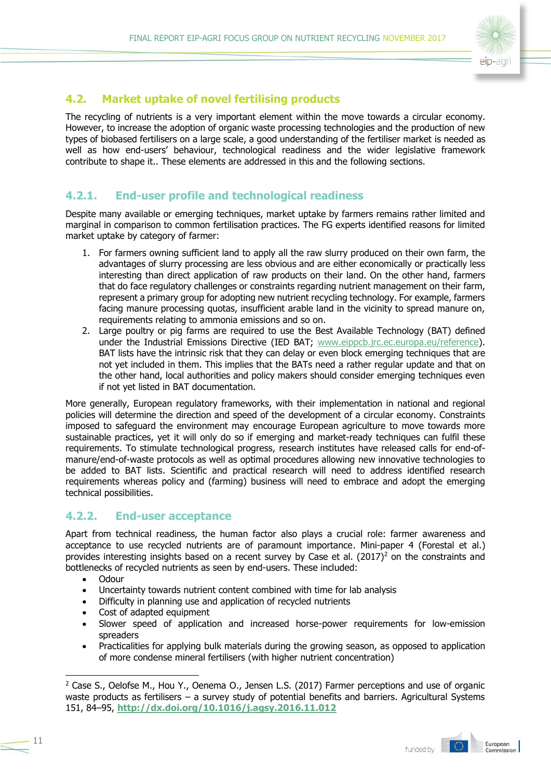

# <span id="page-10-0"></span>**4.2. Market uptake of novel fertilising products**

The recycling of nutrients is a very important element within the move towards a circular economy. However, to increase the adoption of organic waste processing technologies and the production of new types of biobased fertilisers on a large scale, a good understanding of the fertiliser market is needed as well as how end-users' behaviour, technological readiness and the wider legislative framework contribute to shape it.. These elements are addressed in this and the following sections.

### **4.2.1. End-user profile and technological readiness**

Despite many available or emerging techniques, market uptake by farmers remains rather limited and marginal in comparison to common fertilisation practices. The FG experts identified reasons for limited market uptake by category of farmer:

- 1. For farmers owning sufficient land to apply all the raw slurry produced on their own farm, the advantages of slurry processing are less obvious and are either economically or practically less interesting than direct application of raw products on their land. On the other hand, farmers that do face regulatory challenges or constraints regarding nutrient management on their farm, represent a primary group for adopting new nutrient recycling technology. For example, farmers facing manure processing quotas, insufficient arable land in the vicinity to spread manure on, requirements relating to ammonia emissions and so on.
- 2. Large poultry or pig farms are required to use the Best Available Technology (BAT) defined under the Industrial Emissions Directive (IED BAT; [www.eippcb.jrc.ec.europa.eu/reference\)](http://www.eippcb.jrc.ec.europa.eu/reference). BAT lists have the intrinsic risk that they can delay or even block emerging techniques that are not yet included in them. This implies that the BATs need a rather regular update and that on the other hand, local authorities and policy makers should consider emerging techniques even if not yet listed in BAT documentation.

More generally, European regulatory frameworks, with their implementation in national and regional policies will determine the direction and speed of the development of a circular economy. Constraints imposed to safeguard the environment may encourage European agriculture to move towards more sustainable practices, yet it will only do so if emerging and market-ready techniques can fulfil these requirements. To stimulate technological progress, research institutes have released calls for end-ofmanure/end-of-waste protocols as well as optimal procedures allowing new innovative technologies to be added to BAT lists. Scientific and practical research will need to address identified research requirements whereas policy and (farming) business will need to embrace and adopt the emerging technical possibilities.

### **4.2.2. End-user acceptance**

Apart from technical readiness, the human factor also plays a crucial role: farmer awareness and acceptance to use recycled nutrients are of paramount importance. Mini-paper 4 (Forestal et al.) provides interesting insights based on a recent survey by Case et al.  $(2017)^2$  on the constraints and bottlenecks of recycled nutrients as seen by end-users. These included:

- Odour
- Uncertainty towards nutrient content combined with time for lab analysis
- Difficulty in planning use and application of recycled nutrients
- Cost of adapted equipment
- Slower speed of application and increased horse-power requirements for low-emission spreaders
- Practicalities for applying bulk materials during the growing season, as opposed to application of more condense mineral fertilisers (with higher nutrient concentration)

<sup>&</sup>lt;sup>2</sup> Case S., Oelofse M., Hou Y., Oenema O., Jensen L.S. (2017) Farmer perceptions and use of organic waste products as fertilisers – a survey study of potential benefits and barriers. Agricultural Systems 151, 84–95, **<http://dx.doi.org/10.1016/j.agsy.2016.11.012>**



-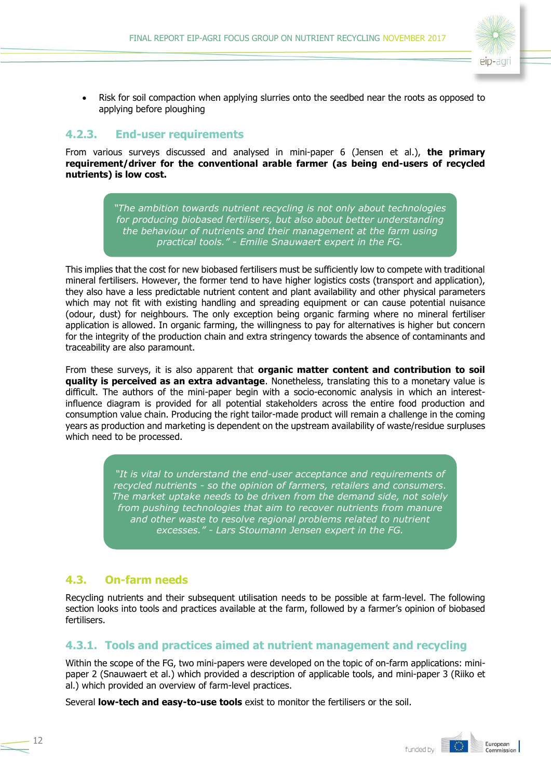

• Risk for soil compaction when applying slurries onto the seedbed near the roots as opposed to applying before ploughing

### **4.2.3. End-user requirements**

From various surveys discussed and analysed in mini-paper 6 (Jensen et al.), **the primary requirement/driver for the conventional arable farmer (as being end-users of recycled nutrients) is low cost.**

> *"The ambition towards nutrient recycling is not only about technologies for producing biobased fertilisers, but also about better understanding the behaviour of nutrients and their management at the farm using practical tools." - Emilie Snauwaert expert in the FG.*

This implies that the cost for new biobased fertilisers must be sufficiently low to compete with traditional mineral fertilisers. However, the former tend to have higher logistics costs (transport and application), they also have a less predictable nutrient content and plant availability and other physical parameters which may not fit with existing handling and spreading equipment or can cause potential nuisance (odour, dust) for neighbours. The only exception being organic farming where no mineral fertiliser application is allowed. In organic farming, the willingness to pay for alternatives is higher but concern for the integrity of the production chain and extra stringency towards the absence of contaminants and traceability are also paramount.

From these surveys, it is also apparent that **organic matter content and contribution to soil quality is perceived as an extra advantage**. Nonetheless, translating this to a monetary value is difficult. The authors of the mini-paper begin with a socio-economic analysis in which an interestinfluence diagram is provided for all potential stakeholders across the entire food production and consumption value chain. Producing the right tailor-made product will remain a challenge in the coming years as production and marketing is dependent on the upstream availability of waste/residue surpluses which need to be processed.

> *"It is vital to understand the end-user acceptance and requirements of recycled nutrients - so the opinion of farmers, retailers and consumers. The market uptake needs to be driven from the demand side, not solely from pushing technologies that aim to recover nutrients from manure and other waste to resolve regional problems related to nutrient excesses." - Lars Stoumann Jensen expert in the FG.*

## <span id="page-11-0"></span>**4.3. On-farm needs**

12

Recycling nutrients and their subsequent utilisation needs to be possible at farm-level. The following section looks into tools and practices available at the farm, followed by a farmer's opinion of biobased fertilisers.

### **4.3.1. Tools and practices aimed at nutrient management and recycling**

Within the scope of the FG, two mini-papers were developed on the topic of on-farm applications: minipaper 2 (Snauwaert et al.) which provided a description of applicable tools, and mini-paper 3 (Riiko et al.) which provided an overview of farm-level practices.

Several **low-tech and easy-to-use tools** exist to monitor the fertilisers or the soil.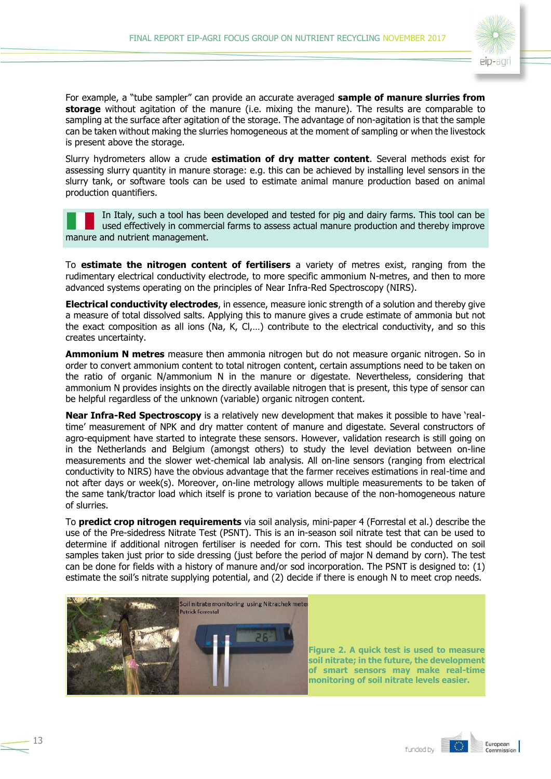

For example, a "tube sampler" can provide an accurate averaged **sample of manure slurries from storage** without agitation of the manure (i.e. mixing the manure). The results are comparable to sampling at the surface after agitation of the storage. The advantage of non-agitation is that the sample can be taken without making the slurries homogeneous at the moment of sampling or when the livestock is present above the storage.

Slurry hydrometers allow a crude **estimation of dry matter content**. Several methods exist for assessing slurry quantity in manure storage: e.g. this can be achieved by installing level sensors in the slurry tank, or software tools can be used to estimate animal manure production based on animal production quantifiers.

In Italy, such a tool has been developed and tested for pig and dairy farms. This tool can be used effectively in commercial farms to assess actual manure production and thereby improve manure and nutrient management.

To **estimate the nitrogen content of fertilisers** a variety of metres exist, ranging from the rudimentary electrical conductivity electrode, to more specific ammonium N-metres, and then to more advanced systems operating on the principles of Near Infra-Red Spectroscopy (NIRS).

**Electrical conductivity electrodes**, in essence, measure ionic strength of a solution and thereby give a measure of total dissolved salts. Applying this to manure gives a crude estimate of ammonia but not the exact composition as all ions (Na, K, Cl,…) contribute to the electrical conductivity, and so this creates uncertainty.

**Ammonium N metres** measure then ammonia nitrogen but do not measure organic nitrogen. So in order to convert ammonium content to total nitrogen content, certain assumptions need to be taken on the ratio of organic N/ammonium N in the manure or digestate. Nevertheless, considering that ammonium N provides insights on the directly available nitrogen that is present, this type of sensor can be helpful regardless of the unknown (variable) organic nitrogen content.

**Near Infra-Red Spectroscopy** is a relatively new development that makes it possible to have 'realtime' measurement of NPK and dry matter content of manure and digestate. Several constructors of agro-equipment have started to integrate these sensors. However, validation research is still going on in the Netherlands and Belgium (amongst others) to study the level deviation between on-line measurements and the slower wet-chemical lab analysis. All on-line sensors (ranging from electrical conductivity to NIRS) have the obvious advantage that the farmer receives estimations in real-time and not after days or week(s). Moreover, on-line metrology allows multiple measurements to be taken of the same tank/tractor load which itself is prone to variation because of the non-homogeneous nature of slurries.

To **predict crop nitrogen requirements** via soil analysis, mini-paper 4 (Forrestal et al.) describe the use of the Pre-sidedress Nitrate Test (PSNT). This is an in-season soil nitrate test that can be used to determine if additional nitrogen fertiliser is needed for corn. This test should be conducted on soil samples taken just prior to side dressing (just before the period of major N demand by corn). The test can be done for fields with a history of manure and/or sod incorporation. The PSNT is designed to: (1) estimate the soil's nitrate supplying potential, and (2) decide if there is enough N to meet crop needs.



**Figure 2. A quick test is used to measure soil nitrate; in the future, the development of smart sensors may make real-time monitoring of soil nitrate levels easier.**

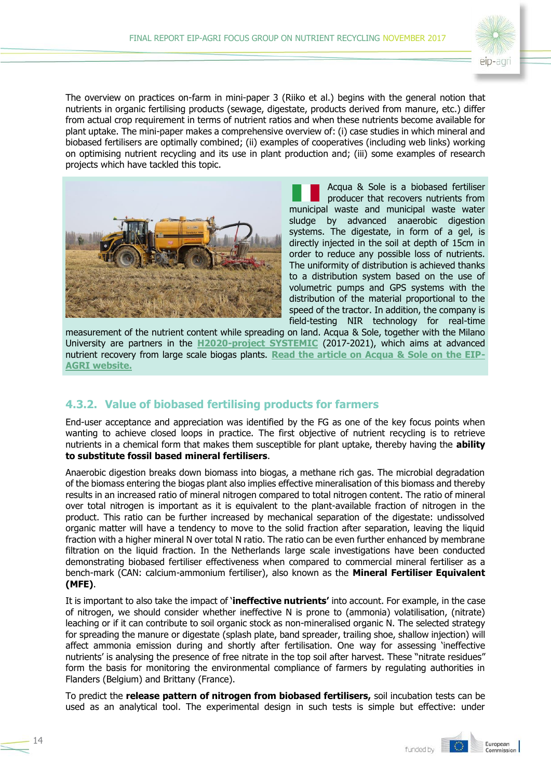

The overview on practices on-farm in mini-paper 3 (Riiko et al.) begins with the general notion that nutrients in organic fertilising products (sewage, digestate, products derived from manure, etc.) differ from actual crop requirement in terms of nutrient ratios and when these nutrients become available for plant uptake. The mini-paper makes a comprehensive overview of: (i) case studies in which mineral and biobased fertilisers are optimally combined; (ii) examples of cooperatives (including web links) working on optimising nutrient recycling and its use in plant production and; (iii) some examples of research projects which have tackled this topic.



Acqua & Sole is a biobased fertiliser producer that recovers nutrients from municipal waste and municipal waste water sludge by advanced anaerobic digestion systems. The digestate, in form of a gel, is directly injected in the soil at depth of 15cm in order to reduce any possible loss of nutrients. The uniformity of distribution is achieved thanks to a distribution system based on the use of volumetric pumps and GPS systems with the distribution of the material proportional to the speed of the tractor. In addition, the company is field-testing NIR technology for real-time

measurement of the nutrient content while spreading on land. Acqua & Sole, together with the Milano University are partners in the **[H2020-project SYSTEMIC](https://systemicproject.eu/)** (2017-2021), which aims at advanced nutrient recovery from large scale biogas plants. **[Read the article on Acqua & Sole on the EIP-](https://ec.europa.eu/eip/agriculture/en/news/inspirational-ideas-agro-industrial-waste-put-good)[AGRI website.](https://ec.europa.eu/eip/agriculture/en/news/inspirational-ideas-agro-industrial-waste-put-good)**

## **4.3.2. Value of biobased fertilising products for farmers**

End-user acceptance and appreciation was identified by the FG as one of the key focus points when wanting to achieve closed loops in practice. The first objective of nutrient recycling is to retrieve nutrients in a chemical form that makes them susceptible for plant uptake, thereby having the **ability to substitute fossil based mineral fertilisers**.

Anaerobic digestion breaks down biomass into biogas, a methane rich gas. The microbial degradation of the biomass entering the biogas plant also implies effective mineralisation of this biomass and thereby results in an increased ratio of mineral nitrogen compared to total nitrogen content. The ratio of mineral over total nitrogen is important as it is equivalent to the plant-available fraction of nitrogen in the product. This ratio can be further increased by mechanical separation of the digestate: undissolved organic matter will have a tendency to move to the solid fraction after separation, leaving the liquid fraction with a higher mineral N over total N ratio. The ratio can be even further enhanced by membrane filtration on the liquid fraction. In the Netherlands large scale investigations have been conducted demonstrating biobased fertiliser effectiveness when compared to commercial mineral fertiliser as a bench-mark (CAN: calcium-ammonium fertiliser), also known as the **Mineral Fertiliser Equivalent (MFE)**.

It is important to also take the impact of '**ineffective nutrients'** into account. For example, in the case of nitrogen, we should consider whether ineffective N is prone to (ammonia) volatilisation, (nitrate) leaching or if it can contribute to soil organic stock as non-mineralised organic N. The selected strategy for spreading the manure or digestate (splash plate, band spreader, trailing shoe, shallow injection) will affect ammonia emission during and shortly after fertilisation. One way for assessing 'ineffective nutrients' is analysing the presence of free nitrate in the top soil after harvest. These "nitrate residues" form the basis for monitoring the environmental compliance of farmers by regulating authorities in Flanders (Belgium) and Brittany (France).

To predict the **release pattern of nitrogen from biobased fertilisers,** soil incubation tests can be used as an analytical tool. The experimental design in such tests is simple but effective: under

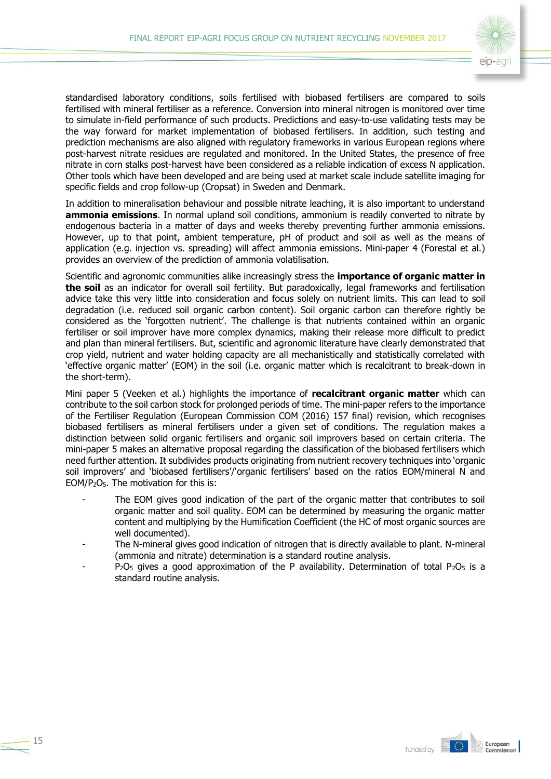

standardised laboratory conditions, soils fertilised with biobased fertilisers are compared to soils fertilised with mineral fertiliser as a reference. Conversion into mineral nitrogen is monitored over time to simulate in-field performance of such products. Predictions and easy-to-use validating tests may be the way forward for market implementation of biobased fertilisers. In addition, such testing and prediction mechanisms are also aligned with regulatory frameworks in various European regions where post-harvest nitrate residues are regulated and monitored. In the United States, the presence of free nitrate in corn stalks post-harvest have been considered as a reliable indication of excess N application. Other tools which have been developed and are being used at market scale include satellite imaging for specific fields and crop follow-up (Cropsat) in Sweden and Denmark.

In addition to mineralisation behaviour and possible nitrate leaching, it is also important to understand **ammonia emissions**. In normal upland soil conditions, ammonium is readily converted to nitrate by endogenous bacteria in a matter of days and weeks thereby preventing further ammonia emissions. However, up to that point, ambient temperature, pH of product and soil as well as the means of application (e.g. injection vs. spreading) will affect ammonia emissions. Mini-paper 4 (Forestal et al.) provides an overview of the prediction of ammonia volatilisation.

Scientific and agronomic communities alike increasingly stress the **importance of organic matter in the soil** as an indicator for overall soil fertility. But paradoxically, legal frameworks and fertilisation advice take this very little into consideration and focus solely on nutrient limits. This can lead to soil degradation (i.e. reduced soil organic carbon content). Soil organic carbon can therefore rightly be considered as the 'forgotten nutrient'. The challenge is that nutrients contained within an organic fertiliser or soil improver have more complex dynamics, making their release more difficult to predict and plan than mineral fertilisers. But, scientific and agronomic literature have clearly demonstrated that crop yield, nutrient and water holding capacity are all mechanistically and statistically correlated with 'effective organic matter' (EOM) in the soil (i.e. organic matter which is recalcitrant to break-down in the short-term).

Mini paper 5 (Veeken et al.) highlights the importance of **recalcitrant organic matter** which can contribute to the soil carbon stock for prolonged periods of time. The mini-paper refers to the importance of the Fertiliser Regulation (European Commission COM (2016) 157 final) revision, which recognises biobased fertilisers as mineral fertilisers under a given set of conditions. The regulation makes a distinction between solid organic fertilisers and organic soil improvers based on certain criteria. The mini-paper 5 makes an alternative proposal regarding the classification of the biobased fertilisers which need further attention. It subdivides products originating from nutrient recovery techniques into 'organic soil improvers' and 'biobased fertilisers'/'organic fertilisers' based on the ratios EOM/mineral N and EOM/P2O5. The motivation for this is:

- The EOM gives good indication of the part of the organic matter that contributes to soil organic matter and soil quality. EOM can be determined by measuring the organic matter content and multiplying by the Humification Coefficient (the HC of most organic sources are well documented).
- The N-mineral gives good indication of nitrogen that is directly available to plant. N-mineral (ammonia and nitrate) determination is a standard routine analysis.
- $P_2O_5$  gives a good approximation of the P availability. Determination of total  $P_2O_5$  is a standard routine analysis.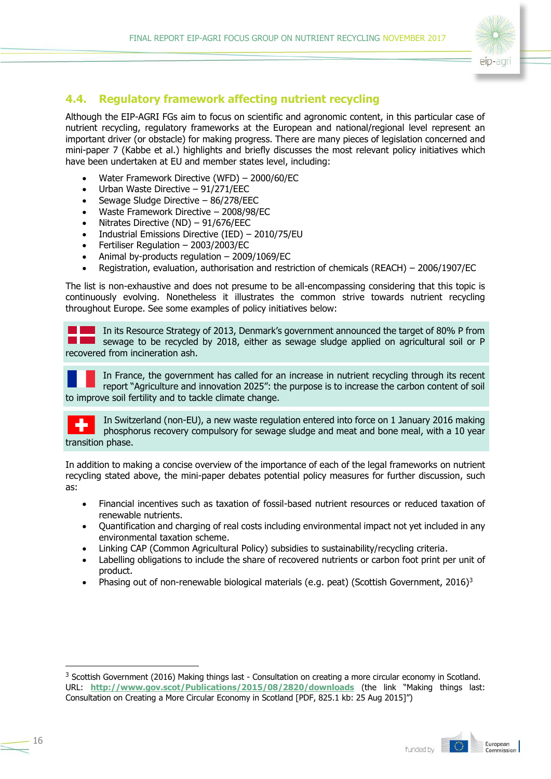

### <span id="page-15-0"></span>**4.4. Regulatory framework affecting nutrient recycling**

Although the EIP-AGRI FGs aim to focus on scientific and agronomic content, in this particular case of nutrient recycling, regulatory frameworks at the European and national/regional level represent an important driver (or obstacle) for making progress. There are many pieces of legislation concerned and mini-paper 7 (Kabbe et al.) highlights and briefly discusses the most relevant policy initiatives which have been undertaken at EU and member states level, including:

- Water Framework Directive (WFD) 2000/60/EC
- Urban Waste Directive 91/271/EEC
- Sewage Sludge Directive 86/278/EEC
- Waste Framework Directive 2008/98/EC
- Nitrates Directive (ND) 91/676/EEC
- Industrial Emissions Directive (IED) 2010/75/EU
- Fertiliser Regulation 2003/2003/EC
- Animal by-products regulation 2009/1069/EC
- Registration, evaluation, authorisation and restriction of chemicals (REACH) 2006/1907/EC

The list is non-exhaustive and does not presume to be all-encompassing considering that this topic is continuously evolving. Nonetheless it illustrates the common strive towards nutrient recycling throughout Europe. See some examples of policy initiatives below:

In its Resource Strategy of 2013, Denmark's government announced the target of 80% P from sewage to be recycled by 2018, either as sewage sludge applied on agricultural soil or P recovered from incineration ash.

In France, the government has called for an increase in nutrient recycling through its recent report "Agriculture and innovation 2025": the purpose is to increase the carbon content of soil to improve soil fertility and to tackle climate change.

In Switzerland (non-EU), a new waste regulation entered into force on 1 January 2016 making phosphorus recovery compulsory for sewage sludge and meat and bone meal, with a 10 year transition phase.

In addition to making a concise overview of the importance of each of the legal frameworks on nutrient recycling stated above, the mini-paper debates potential policy measures for further discussion, such as:

- Financial incentives such as taxation of fossil-based nutrient resources or reduced taxation of renewable nutrients.
- Ouantification and charging of real costs including environmental impact not vet included in any environmental taxation scheme.
- Linking CAP (Common Agricultural Policy) subsidies to sustainability/recycling criteria.
- Labelling obligations to include the share of recovered nutrients or carbon foot print per unit of product.
- Phasing out of non-renewable biological materials (e.g. peat) (Scottish Government, 2016)<sup>3</sup>

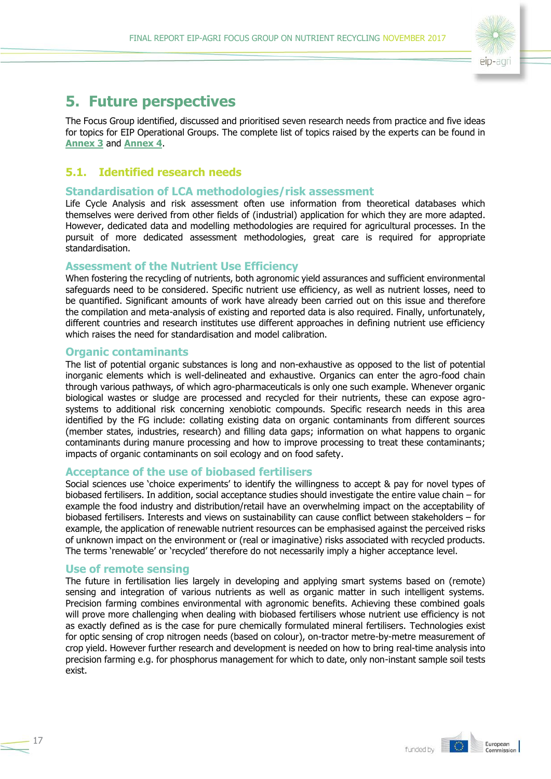

# <span id="page-16-0"></span>**5. Future perspectives**

The Focus Group identified, discussed and prioritised seven research needs from practice and five ideas for topics for EIP Operational Groups. The complete list of topics raised by the experts can be found in **[Annex 3](#page-21-0)** and **[Annex 4](#page-22-0)**.

### <span id="page-16-1"></span>**5.1. Identified research needs**

#### **Standardisation of LCA methodologies/risk assessment**

Life Cycle Analysis and risk assessment often use information from theoretical databases which themselves were derived from other fields of (industrial) application for which they are more adapted. However, dedicated data and modelling methodologies are required for agricultural processes. In the pursuit of more dedicated assessment methodologies, great care is required for appropriate standardisation.

#### **Assessment of the Nutrient Use Efficiency**

When fostering the recycling of nutrients, both agronomic yield assurances and sufficient environmental safeguards need to be considered. Specific nutrient use efficiency, as well as nutrient losses, need to be quantified. Significant amounts of work have already been carried out on this issue and therefore the compilation and meta-analysis of existing and reported data is also required. Finally, unfortunately, different countries and research institutes use different approaches in defining nutrient use efficiency which raises the need for standardisation and model calibration.

#### **Organic contaminants**

The list of potential organic substances is long and non-exhaustive as opposed to the list of potential inorganic elements which is well-delineated and exhaustive. Organics can enter the agro-food chain through various pathways, of which agro-pharmaceuticals is only one such example. Whenever organic biological wastes or sludge are processed and recycled for their nutrients, these can expose agrosystems to additional risk concerning xenobiotic compounds. Specific research needs in this area identified by the FG include: collating existing data on organic contaminants from different sources (member states, industries, research) and filling data gaps; information on what happens to organic contaminants during manure processing and how to improve processing to treat these contaminants; impacts of organic contaminants on soil ecology and on food safety.

#### **Acceptance of the use of biobased fertilisers**

Social sciences use 'choice experiments' to identify the willingness to accept & pay for novel types of biobased fertilisers. In addition, social acceptance studies should investigate the entire value chain – for example the food industry and distribution/retail have an overwhelming impact on the acceptability of biobased fertilisers. Interests and views on sustainability can cause conflict between stakeholders – for example, the application of renewable nutrient resources can be emphasised against the perceived risks of unknown impact on the environment or (real or imaginative) risks associated with recycled products. The terms 'renewable' or 'recycled' therefore do not necessarily imply a higher acceptance level.

#### **Use of remote sensing**

The future in fertilisation lies largely in developing and applying smart systems based on (remote) sensing and integration of various nutrients as well as organic matter in such intelligent systems. Precision farming combines environmental with agronomic benefits. Achieving these combined goals will prove more challenging when dealing with biobased fertilisers whose nutrient use efficiency is not as exactly defined as is the case for pure chemically formulated mineral fertilisers. Technologies exist for optic sensing of crop nitrogen needs (based on colour), on-tractor metre-by-metre measurement of crop yield. However further research and development is needed on how to bring real-time analysis into precision farming e.g. for phosphorus management for which to date, only non-instant sample soil tests exist.

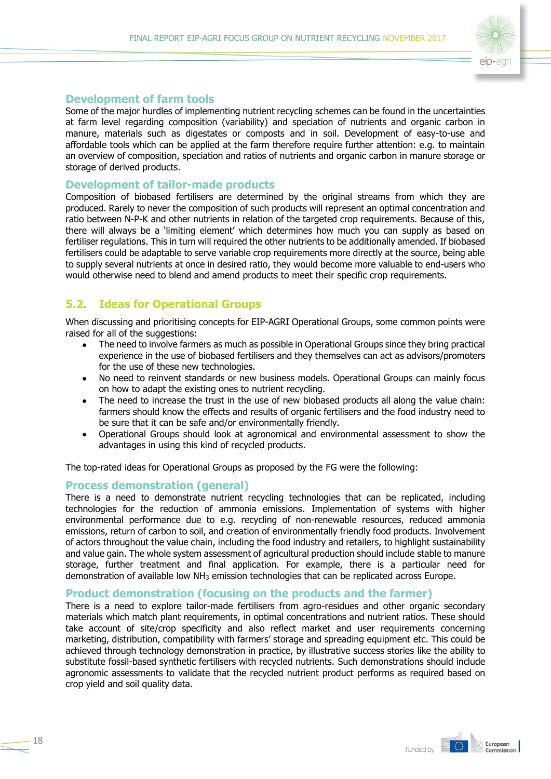

#### **Development of farm tools**

Some of the major hurdles of implementing nutrient recycling schemes can be found in the uncertainties at farm level regarding composition (variability) and speciation of nutrients and organic carbon in manure, materials such as digestates or composts and in soil. Development of easy-to-use and affordable tools which can be applied at the farm therefore require further attention: e.g. to maintain an overview of composition, speciation and ratios of nutrients and organic carbon in manure storage or storage of derived products.

#### **Development of tailor-made products**

Composition of biobased fertilisers are determined by the original streams from which they are produced. Rarely to never the composition of such products will represent an optimal concentration and ratio between N-P-K and other nutrients in relation of the targeted crop requirements. Because of this, there will always be a 'limiting element' which determines how much you can supply as based on fertiliser regulations. This in turn will required the other nutrients to be additionally amended. If biobased fertilisers could be adaptable to serve variable crop requirements more directly at the source, being able to supply several nutrients at once in desired ratio, they would become more valuable to end-users who would otherwise need to blend and amend products to meet their specific crop requirements.

## <span id="page-17-0"></span>**5.2. Ideas for Operational Groups**

When discussing and prioritising concepts for EIP-AGRI Operational Groups, some common points were raised for all of the suggestions:

- The need to involve farmers as much as possible in Operational Groups since they bring practical experience in the use of biobased fertilisers and they themselves can act as advisors/promoters for the use of these new technologies.
- No need to reinvent standards or new business models. Operational Groups can mainly focus on how to adapt the existing ones to nutrient recycling.
- The need to increase the trust in the use of new biobased products all along the value chain: farmers should know the effects and results of organic fertilisers and the food industry need to be sure that it can be safe and/or environmentally friendly.
- Operational Groups should look at agronomical and environmental assessment to show the advantages in using this kind of recycled products.

The top-rated ideas for Operational Groups as proposed by the FG were the following:

#### **Process demonstration (general)**

There is a need to demonstrate nutrient recycling technologies that can be replicated, including technologies for the reduction of ammonia emissions. Implementation of systems with higher environmental performance due to e.g. recycling of non-renewable resources, reduced ammonia emissions, return of carbon to soil, and creation of environmentally friendly food products. Involvement of actors throughout the value chain, including the food industry and retailers, to highlight sustainability and value gain. The whole system assessment of agricultural production should include stable to manure storage, further treatment and final application. For example, there is a particular need for demonstration of available low NH<sup>3</sup> emission technologies that can be replicated across Europe.

#### **Product demonstration (focusing on the products and the farmer)**

There is a need to explore tailor-made fertilisers from agro-residues and other organic secondary materials which match plant requirements, in optimal concentrations and nutrient ratios. These should take account of site/crop specificity and also reflect market and user requirements concerning marketing, distribution, compatibility with farmers' storage and spreading equipment etc. This could be achieved through technology demonstration in practice, by illustrative success stories like the ability to substitute fossil-based synthetic fertilisers with recycled nutrients. Such demonstrations should include agronomic assessments to validate that the recycled nutrient product performs as required based on crop yield and soil quality data.

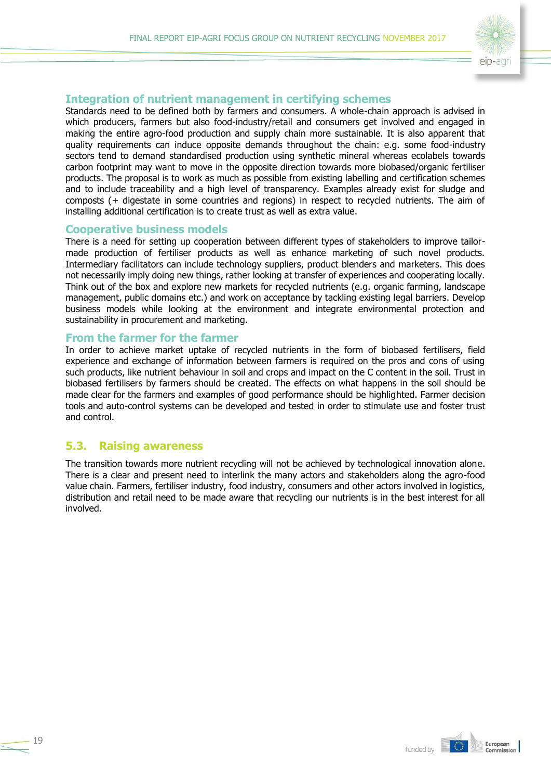

#### **Integration of nutrient management in certifying schemes**

Standards need to be defined both by farmers and consumers. A whole-chain approach is advised in which producers, farmers but also food-industry/retail and consumers get involved and engaged in making the entire agro-food production and supply chain more sustainable. It is also apparent that quality requirements can induce opposite demands throughout the chain: e.g. some food-industry sectors tend to demand standardised production using synthetic mineral whereas ecolabels towards carbon footprint may want to move in the opposite direction towards more biobased/organic fertiliser products. The proposal is to work as much as possible from existing labelling and certification schemes and to include traceability and a high level of transparency. Examples already exist for sludge and composts (+ digestate in some countries and regions) in respect to recycled nutrients. The aim of installing additional certification is to create trust as well as extra value.

#### **Cooperative business models**

There is a need for setting up cooperation between different types of stakeholders to improve tailormade production of fertiliser products as well as enhance marketing of such novel products. Intermediary facilitators can include technology suppliers, product blenders and marketers. This does not necessarily imply doing new things, rather looking at transfer of experiences and cooperating locally. Think out of the box and explore new markets for recycled nutrients (e.g. organic farming, landscape management, public domains etc.) and work on acceptance by tackling existing legal barriers. Develop business models while looking at the environment and integrate environmental protection and sustainability in procurement and marketing.

#### **From the farmer for the farmer**

In order to achieve market uptake of recycled nutrients in the form of biobased fertilisers, field experience and exchange of information between farmers is required on the pros and cons of using such products, like nutrient behaviour in soil and crops and impact on the C content in the soil. Trust in biobased fertilisers by farmers should be created. The effects on what happens in the soil should be made clear for the farmers and examples of good performance should be highlighted. Farmer decision tools and auto-control systems can be developed and tested in order to stimulate use and foster trust and control.

#### <span id="page-18-0"></span>**5.3. Raising awareness**

The transition towards more nutrient recycling will not be achieved by technological innovation alone. There is a clear and present need to interlink the many actors and stakeholders along the agro-food value chain. Farmers, fertiliser industry, food industry, consumers and other actors involved in logistics, distribution and retail need to be made aware that recycling our nutrients is in the best interest for all involved.

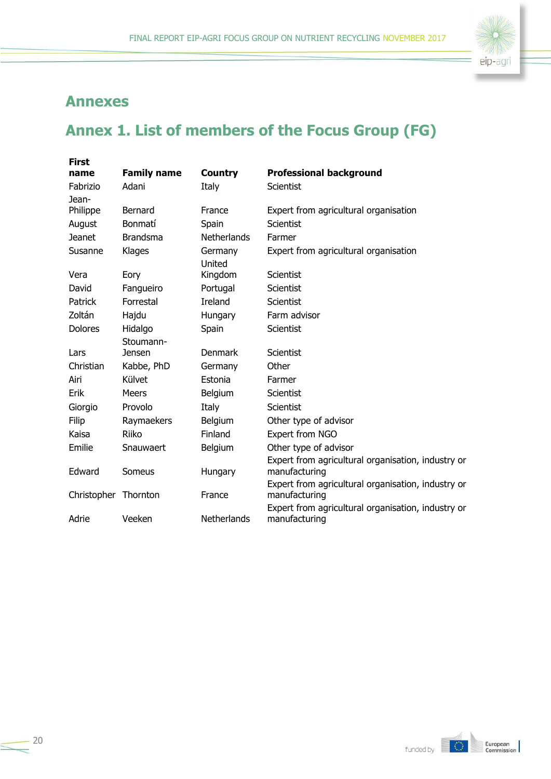

# <span id="page-19-0"></span>**Annexes**

# <span id="page-19-1"></span>**Annex 1. List of members of the Focus Group (FG)**

| <b>First</b>   |                    |                    |                                                                     |
|----------------|--------------------|--------------------|---------------------------------------------------------------------|
| name           | <b>Family name</b> | <b>Country</b>     | <b>Professional background</b>                                      |
| Fabrizio       | Adani              | Italy              | <b>Scientist</b>                                                    |
| Jean-          | Bernard            | France             |                                                                     |
| Philippe       |                    |                    | Expert from agricultural organisation                               |
| August         | Bonmatí            | Spain              | <b>Scientist</b>                                                    |
| <b>Jeanet</b>  | <b>Brandsma</b>    | <b>Netherlands</b> | Farmer                                                              |
| Susanne        | Klages             | Germany<br>United  | Expert from agricultural organisation                               |
| Vera           | Eory               | Kingdom            | Scientist                                                           |
| David          | Fangueiro          | Portugal           | Scientist                                                           |
| Patrick        | Forrestal          | <b>Ireland</b>     | Scientist                                                           |
| Zoltán         | Hajdu              | Hungary            | Farm advisor                                                        |
| <b>Dolores</b> | Hidalgo            | Spain              | Scientist                                                           |
|                | Stoumann-          |                    |                                                                     |
| Lars           | Jensen             | <b>Denmark</b>     | Scientist                                                           |
| Christian      | Kabbe, PhD         | Germany            | Other                                                               |
| Airi           | Külvet             | Estonia            | Farmer                                                              |
| Erik           | <b>Meers</b>       | Belgium            | Scientist                                                           |
| Giorgio        | Provolo            | Italy              | <b>Scientist</b>                                                    |
| Filip          | Raymaekers         | Belgium            | Other type of advisor                                               |
| Kaisa          | Riiko              | Finland            | Expert from NGO                                                     |
| Emilie         | Snauwaert          | Belgium            | Other type of advisor                                               |
|                |                    |                    | Expert from agricultural organisation, industry or                  |
| Edward         | Someus             | Hungary            | manufacturing                                                       |
|                |                    |                    | Expert from agricultural organisation, industry or                  |
| Christopher    | Thornton           | France             | manufacturing<br>Expert from agricultural organisation, industry or |
| Adrie          | Veeken             | <b>Netherlands</b> | manufacturing                                                       |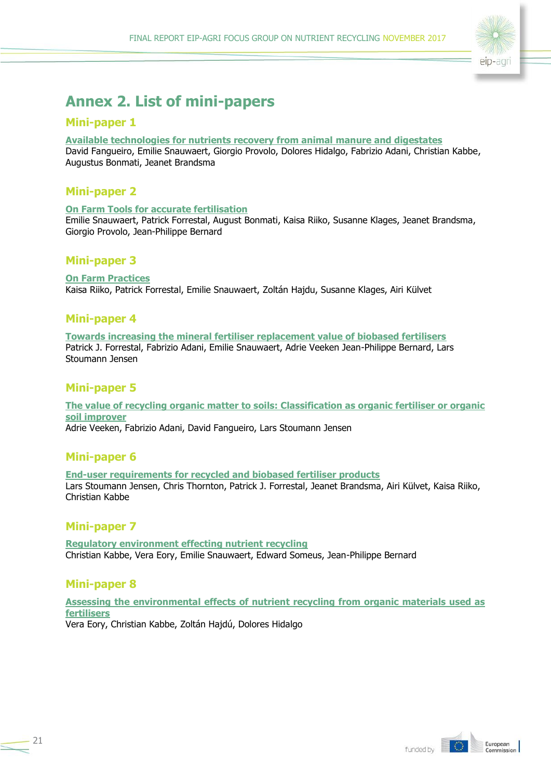

# <span id="page-20-0"></span>**Annex 2. List of mini-papers**

### **Mini-paper 1**

#### **[Available technologies for nutrients recovery from animal manure and digestates](https://ec.europa.eu/eip/agriculture/sites/agri-eip/files/fg19_minipaper_1_state_of_the_art_en.pdf)**

David Fangueiro, Emilie Snauwaert, Giorgio Provolo, Dolores Hidalgo, Fabrizio Adani, Christian Kabbe, Augustus Bonmati, Jeanet Brandsma

## **Mini-paper 2**

#### **[On Farm Tools for accurate fertilisation](https://ec.europa.eu/eip/agriculture/sites/agri-eip/files/fg19_minipaper_2_farm_tools_en.pdf)**

Emilie Snauwaert, Patrick Forrestal, August Bonmati, Kaisa Riiko, Susanne Klages, Jeanet Brandsma, Giorgio Provolo, Jean-Philippe Bernard

### **Mini-paper 3**

**[On Farm Practices](https://ec.europa.eu/eip/agriculture/sites/agri-eip/files/fg19_minipaper_3_farm_practice_en.pdf)** Kaisa Riiko, Patrick Forrestal, Emilie Snauwaert, Zoltán Hajdu, Susanne Klages, Airi Külvet

### **Mini-paper 4**

**[Towards increasing the mineral fertiliser replacement value of biobased fertilisers](https://ec.europa.eu/eip/agriculture/sites/agri-eip/files/fg19_minipaper_4_nue_en.pdf)** Patrick J. Forrestal, Fabrizio Adani, Emilie Snauwaert, Adrie Veeken Jean-Philippe Bernard, Lars Stoumann Jensen

### **Mini-paper 5**

**[The value of recycling organic matter to soils: Classification as organic fertiliser or organic](https://ec.europa.eu/eip/agriculture/sites/agri-eip/files/fg19_minipaper_5_value_of_organic_matter_en.pdf)  [soil improver](https://ec.europa.eu/eip/agriculture/sites/agri-eip/files/fg19_minipaper_5_value_of_organic_matter_en.pdf)** Adrie Veeken, Fabrizio Adani, David Fangueiro, Lars Stoumann Jensen

### **Mini-paper 6**

**[End-user requirements for recycled and biobased fertiliser products](https://ec.europa.eu/eip/agriculture/sites/agri-eip/files/fg19_minipaper_6_end_user_requirements_en.pdf)** Lars Stoumann Jensen, Chris Thornton, Patrick J. Forrestal, Jeanet Brandsma, Airi Külvet, Kaisa Riiko, Christian Kabbe

### **Mini-paper 7**

**[Regulatory environment effecting nutrient recycling](https://ec.europa.eu/eip/agriculture/sites/agri-eip/files/fg19_minipaper_7_legal_aspects_en.pdf)** Christian Kabbe, Vera Eory, Emilie Snauwaert, Edward Someus, Jean-Philippe Bernard

## **Mini-paper 8**

**[Assessing the environmental effects of nutrient recycling from organic materials used as](https://ec.europa.eu/eip/agriculture/sites/agri-eip/files/fg19_minipaper_8_environment_en.pdf)  [fertilisers](https://ec.europa.eu/eip/agriculture/sites/agri-eip/files/fg19_minipaper_8_environment_en.pdf)**

Vera Eory, Christian Kabbe, Zoltán Hajdú, Dolores Hidalgo

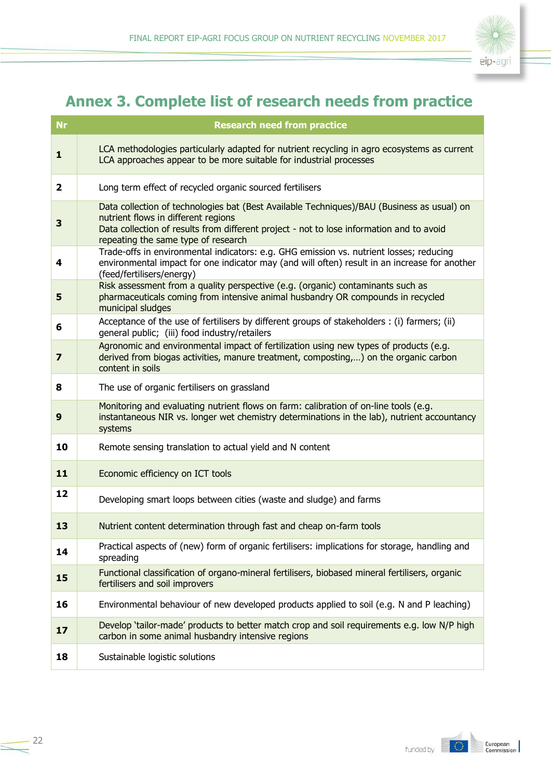

# <span id="page-21-0"></span>**Annex 3. Complete list of research needs from practice**

| <b>Nr</b>               | <b>Research need from practice</b>                                                                                                                                                                                                                                   |  |
|-------------------------|----------------------------------------------------------------------------------------------------------------------------------------------------------------------------------------------------------------------------------------------------------------------|--|
| 1                       | LCA methodologies particularly adapted for nutrient recycling in agro ecosystems as current<br>LCA approaches appear to be more suitable for industrial processes                                                                                                    |  |
| 2                       | Long term effect of recycled organic sourced fertilisers                                                                                                                                                                                                             |  |
| 3                       | Data collection of technologies bat (Best Available Techniques)/BAU (Business as usual) on<br>nutrient flows in different regions<br>Data collection of results from different project - not to lose information and to avoid<br>repeating the same type of research |  |
| 4                       | Trade-offs in environmental indicators: e.g. GHG emission vs. nutrient losses; reducing<br>environmental impact for one indicator may (and will often) result in an increase for another<br>(feed/fertilisers/energy)                                                |  |
| 5                       | Risk assessment from a quality perspective (e.g. (organic) contaminants such as<br>pharmaceuticals coming from intensive animal husbandry OR compounds in recycled<br>municipal sludges                                                                              |  |
| 6                       | Acceptance of the use of fertilisers by different groups of stakeholders : (i) farmers; (ii)<br>general public; (iii) food industry/retailers                                                                                                                        |  |
| $\overline{\mathbf{z}}$ | Agronomic and environmental impact of fertilization using new types of products (e.g.<br>derived from biogas activities, manure treatment, composting,) on the organic carbon<br>content in soils                                                                    |  |
| 8                       | The use of organic fertilisers on grassland                                                                                                                                                                                                                          |  |
| 9                       | Monitoring and evaluating nutrient flows on farm: calibration of on-line tools (e.g.<br>instantaneous NIR vs. longer wet chemistry determinations in the lab), nutrient accountancy<br>systems                                                                       |  |
| 10                      | Remote sensing translation to actual yield and N content                                                                                                                                                                                                             |  |
| 11                      | Economic efficiency on ICT tools                                                                                                                                                                                                                                     |  |
| 12                      | Developing smart loops between cities (waste and sludge) and farms                                                                                                                                                                                                   |  |
| 13                      | Nutrient content determination through fast and cheap on-farm tools                                                                                                                                                                                                  |  |
| 14                      | Practical aspects of (new) form of organic fertilisers: implications for storage, handling and<br>spreading                                                                                                                                                          |  |
| 15                      | Functional classification of organo-mineral fertilisers, biobased mineral fertilisers, organic<br>fertilisers and soil improvers                                                                                                                                     |  |
| 16                      | Environmental behaviour of new developed products applied to soil (e.g. N and P leaching)                                                                                                                                                                            |  |
| 17                      | Develop 'tailor-made' products to better match crop and soil requirements e.g. low N/P high<br>carbon in some animal husbandry intensive regions                                                                                                                     |  |
| 18                      | Sustainable logistic solutions                                                                                                                                                                                                                                       |  |

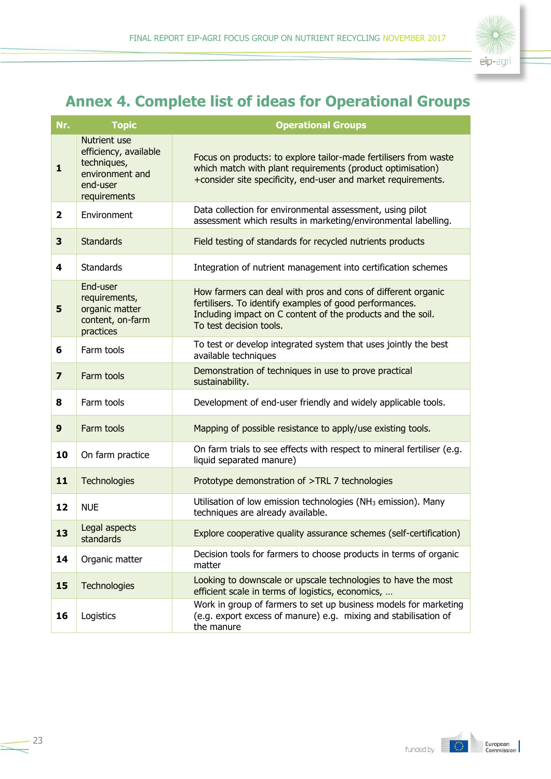

# <span id="page-22-0"></span>**Annex 4. Complete list of ideas for Operational Groups**

| Nr.                     | <b>Topic</b>                                                                                        | <b>Operational Groups</b>                                                                                                                                                                                         |
|-------------------------|-----------------------------------------------------------------------------------------------------|-------------------------------------------------------------------------------------------------------------------------------------------------------------------------------------------------------------------|
| $\mathbf{1}$            | Nutrient use<br>efficiency, available<br>techniques,<br>environment and<br>end-user<br>requirements | Focus on products: to explore tailor-made fertilisers from waste<br>which match with plant requirements (product optimisation)<br>+consider site specificity, end-user and market requirements.                   |
| $\overline{2}$          | Environment                                                                                         | Data collection for environmental assessment, using pilot<br>assessment which results in marketing/environmental labelling.                                                                                       |
| 3                       | <b>Standards</b>                                                                                    | Field testing of standards for recycled nutrients products                                                                                                                                                        |
| 4                       | <b>Standards</b>                                                                                    | Integration of nutrient management into certification schemes                                                                                                                                                     |
| 5                       | End-user<br>requirements,<br>organic matter<br>content, on-farm<br>practices                        | How farmers can deal with pros and cons of different organic<br>fertilisers. To identify examples of good performances.<br>Including impact on C content of the products and the soil.<br>To test decision tools. |
| 6                       | Farm tools                                                                                          | To test or develop integrated system that uses jointly the best<br>available techniques                                                                                                                           |
| $\overline{\mathbf{z}}$ | Farm tools                                                                                          | Demonstration of techniques in use to prove practical<br>sustainability.                                                                                                                                          |
| 8                       | Farm tools                                                                                          | Development of end-user friendly and widely applicable tools.                                                                                                                                                     |
| 9                       | Farm tools                                                                                          | Mapping of possible resistance to apply/use existing tools.                                                                                                                                                       |
| 10                      | On farm practice                                                                                    | On farm trials to see effects with respect to mineral fertiliser (e.g.<br>liquid separated manure)                                                                                                                |
| 11                      | Technologies                                                                                        | Prototype demonstration of >TRL 7 technologies                                                                                                                                                                    |
| 12                      | <b>NUE</b>                                                                                          | Utilisation of low emission technologies (NH <sub>3</sub> emission). Many<br>techniques are already available.                                                                                                    |
| 13                      | Legal aspects<br>standards                                                                          | Explore cooperative quality assurance schemes (self-certification)                                                                                                                                                |
| 14                      | Organic matter                                                                                      | Decision tools for farmers to choose products in terms of organic<br>matter                                                                                                                                       |
| 15                      | Technologies                                                                                        | Looking to downscale or upscale technologies to have the most<br>efficient scale in terms of logistics, economics,                                                                                                |
| 16                      | Logistics                                                                                           | Work in group of farmers to set up business models for marketing<br>(e.g. export excess of manure) e.g. mixing and stabilisation of<br>the manure                                                                 |